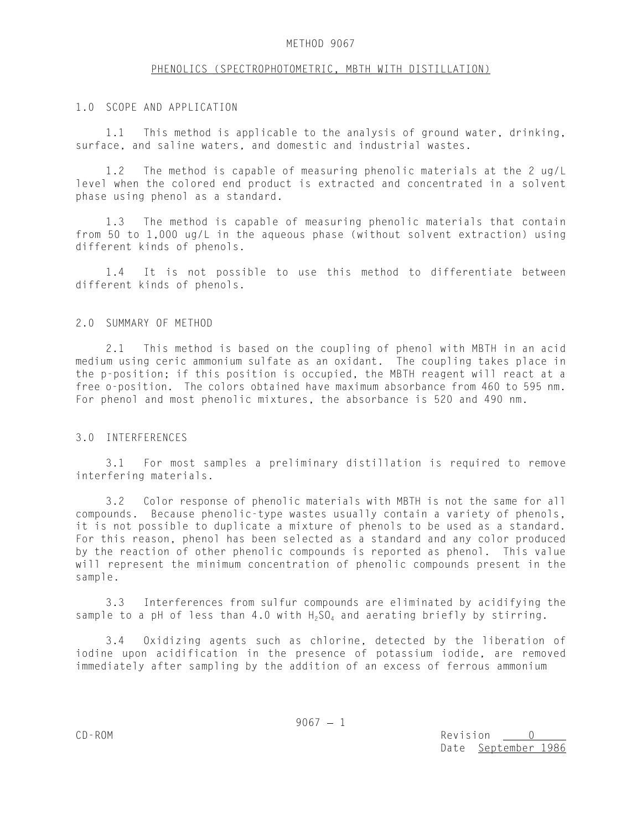## METHOD 9067

## PHENOLICS (SPECTROPHOTOMETRIC, MBTH WITH DISTILLATION)

# 1.0 SCOPE AND APPLICATION

1.1 This method is applicable to the analysis of ground water, drinking, surface, and saline waters, and domestic and industrial wastes.

1.2 The method is capable of measuring phenolic materials at the 2 ug/L level when the colored end product is extracted and concentrated in a solvent phase using phenol as a standard.

1.3 The method is capable of measuring phenolic materials that contain from 50 to 1,000 ug/L in the aqueous phase (without solvent extraction) using different kinds of phenols.

1.4 It is not possible to use this method to differentiate between different kinds of phenols.

#### 2.0 SUMMARY OF METHOD

2.1 This method is based on the coupling of phenol with MBTH in an acid medium using ceric ammonium sulfate as an oxidant. The coupling takes place in the p-position; if this position is occupied, the MBTH reagent will react at a free o-position. The colors obtained have maximum absorbance from 460 to 595 nm. For phenol and most phenolic mixtures, the absorbance is 520 and 490 nm.

#### 3.0 INTERFERENCES

3.1 For most samples a preliminary distillation is required to remove interfering materials.

3.2 Color response of phenolic materials with MBTH is not the same for all compounds. Because phenolic-type wastes usually contain a variety of phenols, it is not possible to duplicate a mixture of phenols to be used as a standard. For this reason, phenol has been selected as a standard and any color produced by the reaction of other phenolic compounds is reported as phenol. This value will represent the minimum concentration of phenolic compounds present in the sample.

3.3 Interferences from sulfur compounds are eliminated by acidifying the sample to a pH of less than 4.0 with  $H_2SO_4$  and aerating briefly by stirring.

3.4 Oxidizing agents such as chlorine, detected by the liberation of iodine upon acidification in the presence of potassium iodide, are removed immediately after sampling by the addition of an excess of ferrous ammonium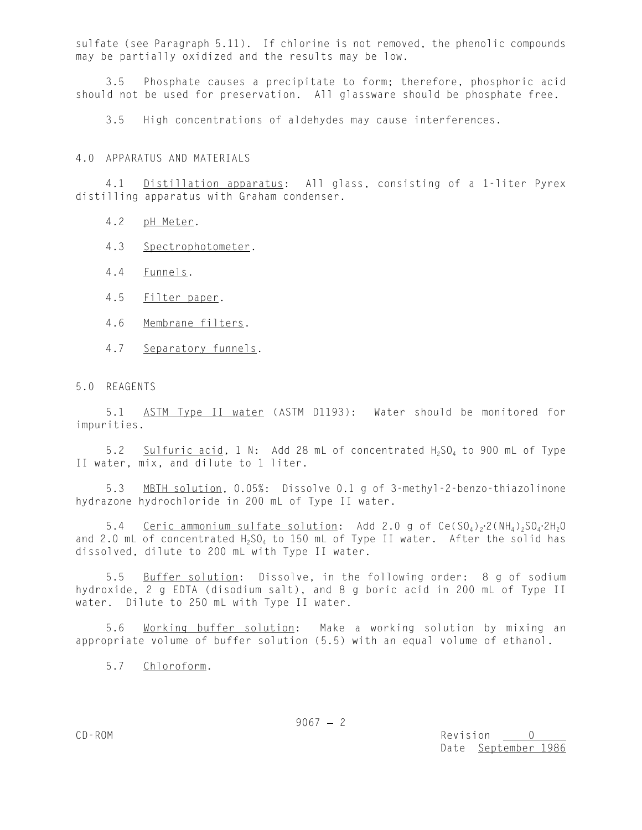sulfate (see Paragraph 5.11). If chlorine is not removed, the phenolic compounds may be partially oxidized and the results may be low.

3.5 Phosphate causes a precipitate to form; therefore, phosphoric acid should not be used for preservation. All glassware should be phosphate free.

3.5 High concentrations of aldehydes may cause interferences.

4.0 APPARATUS AND MATERIALS

4.1 Distillation apparatus: All glass, consisting of a 1-liter Pyrex distilling apparatus with Graham condenser.

- 4.2 pH Meter.
- 4.3 Spectrophotometer.
- 4.4 Funnels.
- 4.5 Filter paper.
- 4.6 Membrane filters.
- 4.7 Separatory funnels.

# 5.0 REAGENTS

5.1 ASTM Type II water (ASTM D1193): Water should be monitored for impurities.

5.2 Sulfuric acid, 1 N: Add 28 mL of concentrated  $H_2SO_4$  to 900 mL of Type II water, mix, and dilute to 1 liter.

5.3 MBTH solution, 0.05%: Dissolve 0.1 g of 3-methyl-2-benzo-thiazolinone hydrazone hydrochloride in 200 mL of Type II water.

5.4 Ceric ammonium sulfate solution: Add 2.0 g of Ce(SO<sub>4</sub>)<sub>2</sub>.2(NH<sub>4</sub>)<sub>2</sub>SO<sub>4</sub>.2H<sub>2</sub>O and 2.0 mL of concentrated  $H_2SO_4$  to 150 mL of Type II water. After the solid has dissolved, dilute to 200 mL with Type II water.

5.5 Buffer solution: Dissolve, in the following order: 8 g of sodium hydroxide, 2 g EDTA (disodium salt), and 8 g boric acid in 200 mL of Type II water. Dilute to 250 mL with Type II water.

5.6 Working buffer solution: Make a working solution by mixing an appropriate volume of buffer solution (5.5) with an equal volume of ethanol.

5.7 Chloroform.

 $9067 - 2$ 

CD-ROM Revision 0 Date September 1986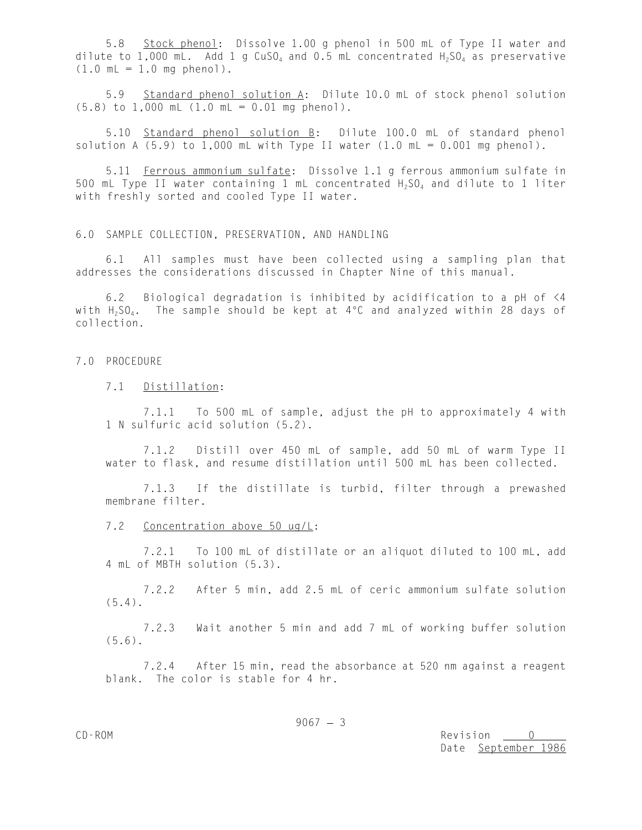5.8 Stock phenol: Dissolve 1.00 g phenol in 500 mL of Type II water and dilute to 1,000 mL. Add 1 g  $CuSO<sub>4</sub>$  and 0.5 mL concentrated  $H<sub>2</sub>SO<sub>4</sub>$  as preservative  $(1.0 \text{ mL} = 1.0 \text{ mg phenol}).$ 

5.9 Standard phenol solution A: Dilute 10.0 mL of stock phenol solution  $(5.8)$  to  $1,000$  mL  $(1.0$  mL = 0.01 mg phenol).

5.10 Standard phenol solution B: Dilute 100.0 mL of standard phenol solution A  $(5.9)$  to 1,000 mL with Type II water  $(1.0$  mL = 0.001 mg phenol).

5.11 Ferrous ammonium sulfate: Dissolve 1.1 g ferrous ammonium sulfate in 500 mL Type II water containing 1 mL concentrated  $H_2SO_4$  and dilute to 1 liter with freshly sorted and cooled Type II water.

6.0 SAMPLE COLLECTION, PRESERVATION, AND HANDLING

6.1 All samples must have been collected using a sampling plan that addresses the considerations discussed in Chapter Nine of this manual.

6.2 Biological degradation is inhibited by acidification to a pH of <4 with  $H_2SO_4$ . The sample should be kept at 4°C and analyzed within 28 days of collection.

### 7.0 PROCEDURE

# 7.1 Distillation:

7.1.1 To 500 mL of sample, adjust the pH to approximately 4 with 1 N sulfuric acid solution (5.2).

7.1.2 Distill over 450 mL of sample, add 50 mL of warm Type II water to flask, and resume distillation until 500 mL has been collected.

7.1.3 If the distillate is turbid, filter through a prewashed membrane filter.

# 7.2 Concentration above 50 ug/L:

7.2.1 To 100 mL of distillate or an aliquot diluted to 100 mL, add 4 mL of MBTH solution (5.3).

7.2.2 After 5 min, add 2.5 mL of ceric ammonium sulfate solution (5.4).

7.2.3 Wait another 5 min and add 7 mL of working buffer solution (5.6).

7.2.4 After 15 min, read the absorbance at 520 nm against a reagent blank. The color is stable for 4 hr.

CD-ROM Revision 0 Date September 1986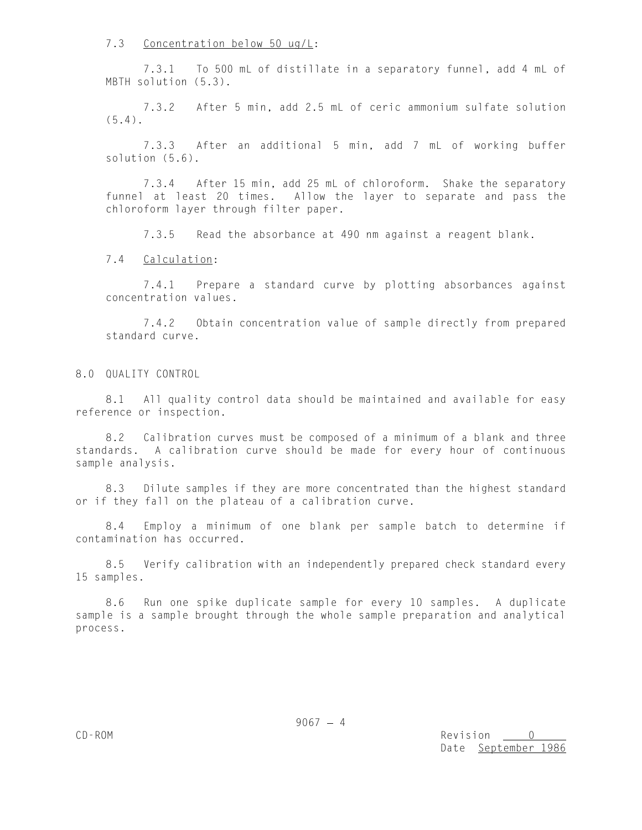7.3 Concentration below 50 ug/L:

7.3.1 To 500 mL of distillate in a separatory funnel, add 4 mL of MBTH solution (5.3).

7.3.2 After 5 min, add 2.5 mL of ceric ammonium sulfate solution (5.4).

7.3.3 After an additional 5 min, add 7 mL of working buffer solution (5.6).

7.3.4 After 15 min, add 25 mL of chloroform. Shake the separatory funnel at least 20 times. Allow the layer to separate and pass the chloroform layer through filter paper.

7.3.5 Read the absorbance at 490 nm against a reagent blank.

7.4 Calculation:

7.4.1 Prepare a standard curve by plotting absorbances against concentration values.

7.4.2 Obtain concentration value of sample directly from prepared standard curve.

8.0 QUALITY CONTROL

8.1 All quality control data should be maintained and available for easy reference or inspection.

8.2 Calibration curves must be composed of a minimum of a blank and three standards. A calibration curve should be made for every hour of continuous sample analysis.

8.3 Dilute samples if they are more concentrated than the highest standard or if they fall on the plateau of a calibration curve.

8.4 Employ a minimum of one blank per sample batch to determine if contamination has occurred.

8.5 Verify calibration with an independently prepared check standard every 15 samples.

8.6 Run one spike duplicate sample for every 10 samples. A duplicate sample is a sample brought through the whole sample preparation and analytical process.

 $9067 - 4$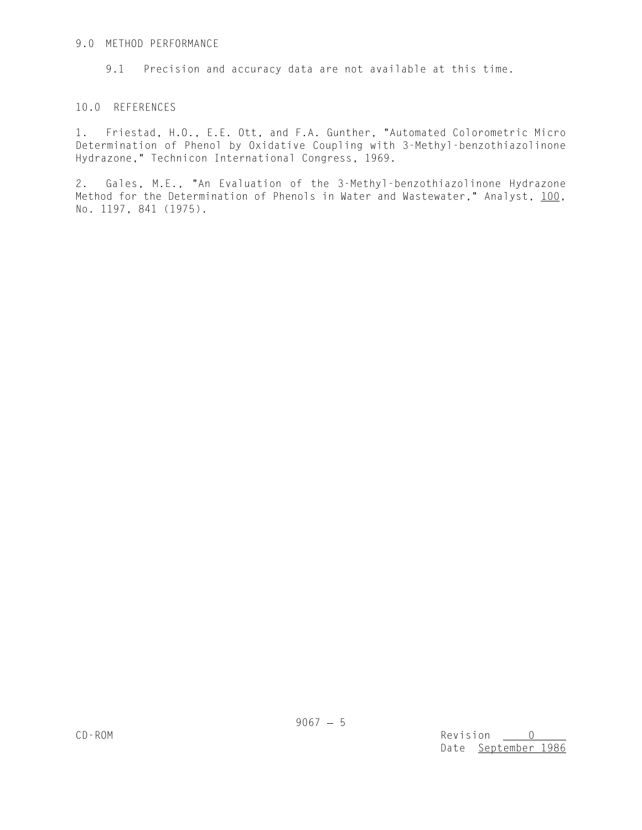# 9.0 METHOD PERFORMANCE

9.1 Precision and accuracy data are not available at this time.

# 10.0 REFERENCES

1. Friestad, H.O., E.E. Ott, and F.A. Gunther, "Automated Colorometric Micro Determination of Phenol by Oxidative Coupling with 3-Methyl-benzothiazolinone Hydrazone," Technicon International Congress, 1969.

2. Gales, M.E., "An Evaluation of the 3-Methyl-benzothiazolinone Hydrazone Method for the Determination of Phenols in Water and Wastewater," Analyst, 100, No. 1197, 841 (1975).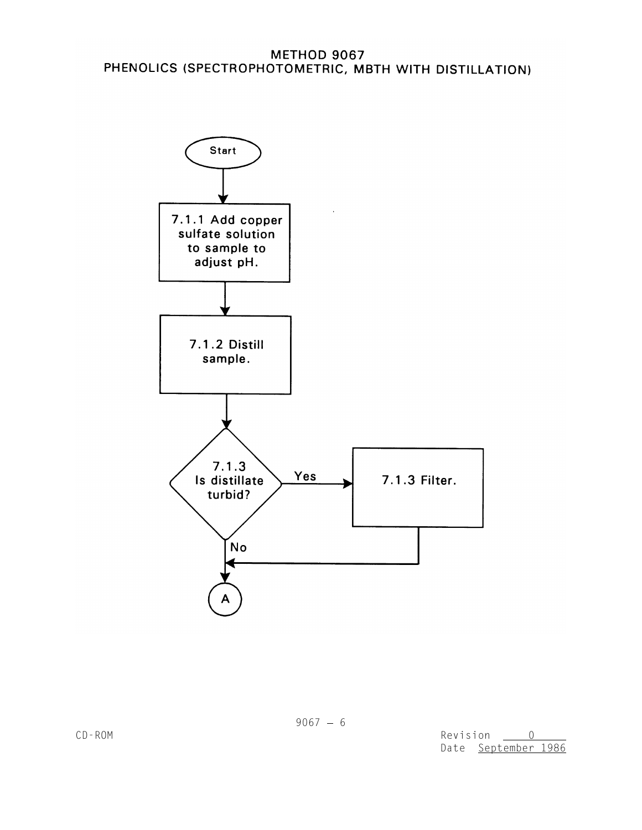# **METHOD 9067** PHENOLICS (SPECTROPHOTOMETRIC, MBTH WITH DISTILLATION)